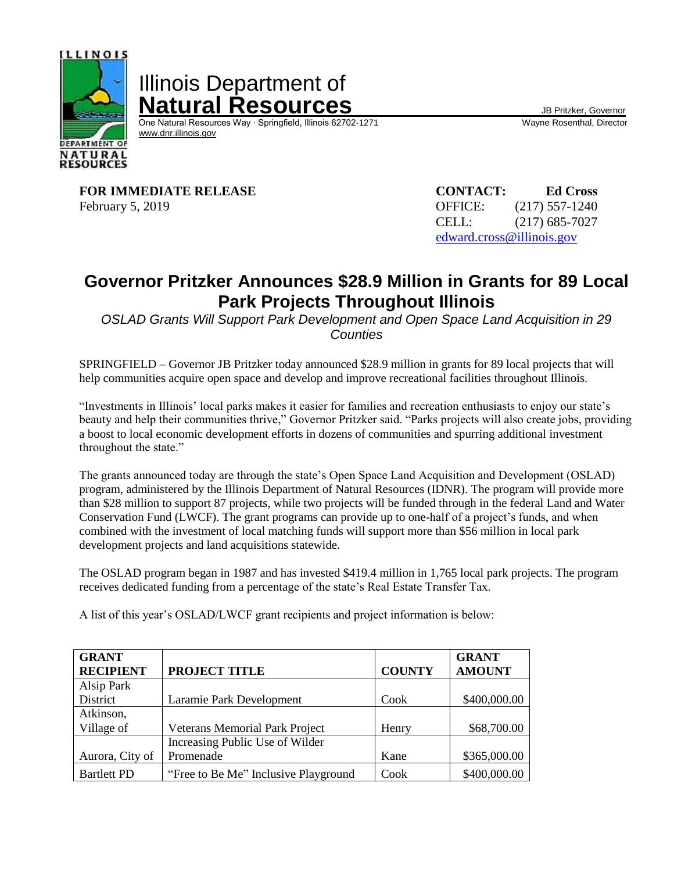

Illinois Department of **Natural Resources**<br>
One Natural Resources Way · Springfield, Illinois 62702-1271 Wayne Rosenthal, Director

One Natural Resources Way ⋅ Springfield, Illinois 62702-1271 [www.dnr.illinois.gov](http://www.dnr.illinois.gov/)

**FOR IMMEDIATE RELEASE CONTACT: Ed Cross** February 5, 2019 **OFFICE:** (217) 557-1240

CELL: (217) 685-7027 [edward.cross@illinois.gov](mailto:edward.cross@illinois.gov)

## **Governor Pritzker Announces \$28.9 Million in Grants for 89 Local Park Projects Throughout Illinois**

*OSLAD Grants Will Support Park Development and Open Space Land Acquisition in 29 Counties*

SPRINGFIELD – Governor JB Pritzker today announced \$28.9 million in grants for 89 local projects that will help communities acquire open space and develop and improve recreational facilities throughout Illinois.

"Investments in Illinois' local parks makes it easier for families and recreation enthusiasts to enjoy our state's beauty and help their communities thrive," Governor Pritzker said. "Parks projects will also create jobs, providing a boost to local economic development efforts in dozens of communities and spurring additional investment throughout the state."

The grants announced today are through the state's Open Space Land Acquisition and Development (OSLAD) program, administered by the Illinois Department of Natural Resources (IDNR). The program will provide more than \$28 million to support 87 projects, while two projects will be funded through in the federal Land and Water Conservation Fund (LWCF). The grant programs can provide up to one-half of a project's funds, and when combined with the investment of local matching funds will support more than \$56 million in local park development projects and land acquisitions statewide.

The OSLAD program began in 1987 and has invested \$419.4 million in 1,765 local park projects. The program receives dedicated funding from a percentage of the state's Real Estate Transfer Tax.

A list of this year's OSLAD/LWCF grant recipients and project information is below:

| <b>GRANT</b><br><b>RECIPIENT</b> | <b>PROJECT TITLE</b>                 | <b>COUNTY</b> | <b>GRANT</b><br><b>AMOUNT</b> |
|----------------------------------|--------------------------------------|---------------|-------------------------------|
| Alsip Park                       |                                      |               |                               |
| <b>District</b>                  | Laramie Park Development             | Cook          | \$400,000.00                  |
| Atkinson,                        |                                      |               |                               |
| Village of                       | Veterans Memorial Park Project       | Henry         | \$68,700.00                   |
|                                  | Increasing Public Use of Wilder      |               |                               |
| Aurora, City of                  | Promenade                            | Kane          | \$365,000.00                  |
| <b>Bartlett PD</b>               | "Free to Be Me" Inclusive Playground | Cook          | \$400,000.00                  |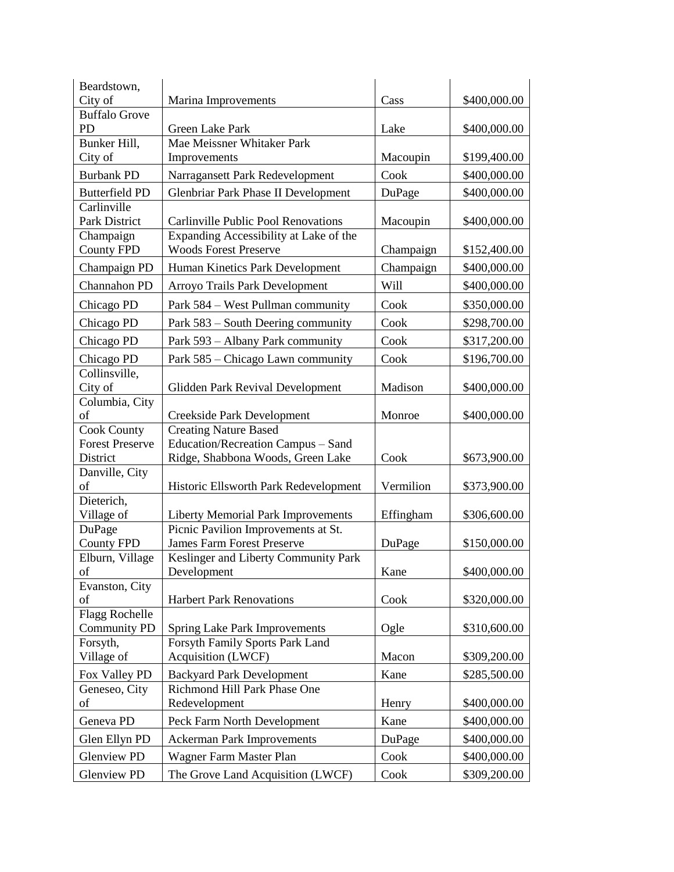| Beardstown,                 |                                                                          |           |              |
|-----------------------------|--------------------------------------------------------------------------|-----------|--------------|
| City of                     | Marina Improvements                                                      | Cass      | \$400,000.00 |
| <b>Buffalo Grove</b>        |                                                                          |           |              |
| PD                          | Green Lake Park                                                          | Lake      | \$400,000.00 |
| Bunker Hill,                | Mae Meissner Whitaker Park                                               |           |              |
| City of                     | Improvements                                                             | Macoupin  | \$199,400.00 |
| <b>Burbank PD</b>           | Narragansett Park Redevelopment                                          | Cook      | \$400,000.00 |
| <b>Butterfield PD</b>       | <b>Glenbriar Park Phase II Development</b>                               | DuPage    | \$400,000.00 |
| Carlinville                 |                                                                          |           |              |
| Park District               | <b>Carlinville Public Pool Renovations</b>                               | Macoupin  | \$400,000.00 |
| Champaign                   | Expanding Accessibility at Lake of the                                   |           |              |
| <b>County FPD</b>           | <b>Woods Forest Preserve</b>                                             | Champaign | \$152,400.00 |
| Champaign PD                | Human Kinetics Park Development                                          | Champaign | \$400,000.00 |
| Channahon PD                | Arroyo Trails Park Development                                           | Will      | \$400,000.00 |
| Chicago PD                  | Park 584 – West Pullman community                                        | Cook      | \$350,000.00 |
| Chicago PD                  | Park 583 – South Deering community                                       | Cook      | \$298,700.00 |
| Chicago PD                  | Park 593 - Albany Park community                                         | Cook      | \$317,200.00 |
| Chicago PD                  | Park 585 – Chicago Lawn community                                        | Cook      | \$196,700.00 |
| Collinsville,               |                                                                          |           |              |
| City of                     | Glidden Park Revival Development                                         | Madison   | \$400,000.00 |
| Columbia, City              |                                                                          |           |              |
| of                          | Creekside Park Development                                               | Monroe    | \$400,000.00 |
| <b>Cook County</b>          | <b>Creating Nature Based</b>                                             |           |              |
| <b>Forest Preserve</b>      | Education/Recreation Campus - Sand                                       |           |              |
| District                    | Ridge, Shabbona Woods, Green Lake                                        | Cook      | \$673,900.00 |
| Danville, City              |                                                                          |           |              |
| of                          | Historic Ellsworth Park Redevelopment                                    | Vermilion | \$373,900.00 |
| Dieterich,                  |                                                                          |           |              |
| Village of                  | <b>Liberty Memorial Park Improvements</b>                                | Effingham | \$306,600.00 |
| DuPage<br><b>County FPD</b> | Picnic Pavilion Improvements at St.<br><b>James Farm Forest Preserve</b> | DuPage    |              |
|                             | Keslinger and Liberty Community Park                                     |           | \$150,000.00 |
| Elburn, Village<br>of       | Development                                                              | Kane      | \$400,000.00 |
| Evanston, City              |                                                                          |           |              |
| of                          | <b>Harbert Park Renovations</b>                                          | Cook      | \$320,000.00 |
| <b>Flagg Rochelle</b>       |                                                                          |           |              |
| <b>Community PD</b>         | <b>Spring Lake Park Improvements</b>                                     | Ogle      | \$310,600.00 |
| Forsyth,                    | Forsyth Family Sports Park Land                                          |           |              |
| Village of                  | <b>Acquisition (LWCF)</b>                                                | Macon     | \$309,200.00 |
| Fox Valley PD               | <b>Backyard Park Development</b>                                         | Kane      | \$285,500.00 |
| Geneseo, City               | Richmond Hill Park Phase One                                             |           |              |
| of                          | Redevelopment                                                            | Henry     | \$400,000.00 |
| Geneva PD                   | Peck Farm North Development                                              | Kane      | \$400,000.00 |
| Glen Ellyn PD               | <b>Ackerman Park Improvements</b>                                        | DuPage    | \$400,000.00 |
| <b>Glenview PD</b>          | Wagner Farm Master Plan                                                  | Cook      | \$400,000.00 |
| <b>Glenview PD</b>          | The Grove Land Acquisition (LWCF)                                        | Cook      | \$309,200.00 |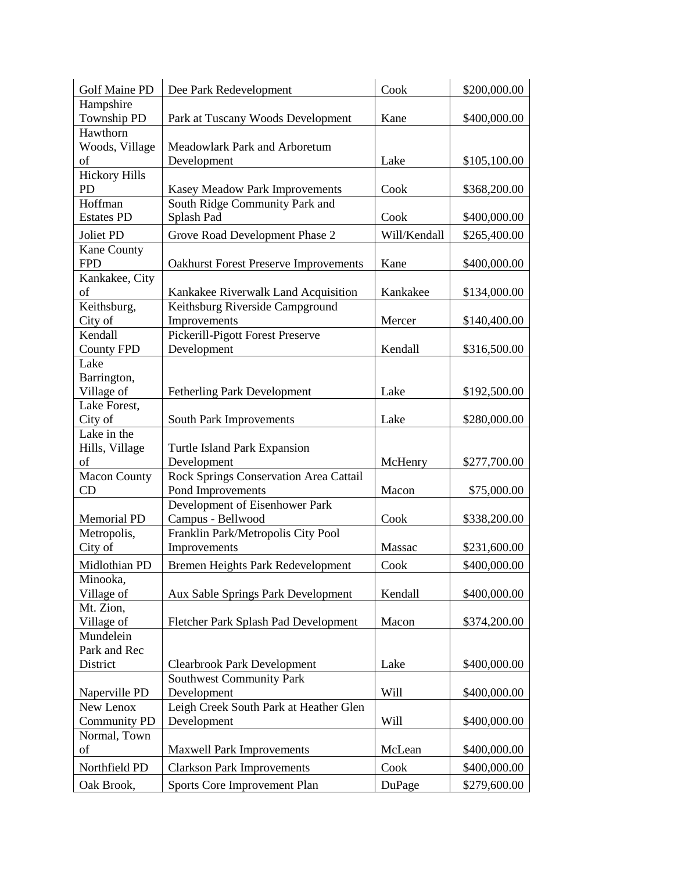| <b>Golf Maine PD</b> | Dee Park Redevelopment                       | Cook         | \$200,000.00 |
|----------------------|----------------------------------------------|--------------|--------------|
| Hampshire            |                                              |              |              |
| <b>Township PD</b>   | Park at Tuscany Woods Development            | Kane         | \$400,000.00 |
| Hawthorn             |                                              |              |              |
| Woods, Village       | Meadowlark Park and Arboretum                |              |              |
| of                   | Development                                  | Lake         | \$105,100.00 |
| <b>Hickory Hills</b> |                                              |              |              |
| PD                   | Kasey Meadow Park Improvements               | Cook         | \$368,200.00 |
| Hoffman              | South Ridge Community Park and               |              |              |
| <b>Estates PD</b>    | Splash Pad                                   | Cook         | \$400,000.00 |
| Joliet PD            | Grove Road Development Phase 2               | Will/Kendall | \$265,400.00 |
| Kane County          |                                              |              |              |
| <b>FPD</b>           | <b>Oakhurst Forest Preserve Improvements</b> | Kane         | \$400,000.00 |
| Kankakee, City       |                                              |              |              |
| of                   | Kankakee Riverwalk Land Acquisition          | Kankakee     | \$134,000.00 |
| Keithsburg,          | Keithsburg Riverside Campground              |              |              |
| City of              | Improvements                                 | Mercer       | \$140,400.00 |
| Kendall              | Pickerill-Pigott Forest Preserve             |              |              |
| <b>County FPD</b>    | Development                                  | Kendall      | \$316,500.00 |
| Lake                 |                                              |              |              |
| Barrington,          |                                              |              |              |
| Village of           | <b>Fetherling Park Development</b>           | Lake         | \$192,500.00 |
| Lake Forest,         |                                              |              |              |
| City of              | South Park Improvements                      | Lake         | \$280,000.00 |
| Lake in the          |                                              |              |              |
| Hills, Village       | Turtle Island Park Expansion                 |              |              |
| of                   | Development                                  | McHenry      | \$277,700.00 |
| <b>Macon County</b>  | Rock Springs Conservation Area Cattail       |              |              |
| CD                   | Pond Improvements                            | Macon        | \$75,000.00  |
|                      | Development of Eisenhower Park               |              |              |
| <b>Memorial PD</b>   | Campus - Bellwood                            | Cook         | \$338,200.00 |
| Metropolis,          | Franklin Park/Metropolis City Pool           |              |              |
| City of              | Improvements                                 | Massac       | \$231,600.00 |
| Midlothian PD        | Bremen Heights Park Redevelopment            | Cook         | \$400,000.00 |
| Minooka,             |                                              |              |              |
| Village of           | Aux Sable Springs Park Development           | Kendall      | \$400,000.00 |
| Mt. Zion,            |                                              |              |              |
| Village of           | Fletcher Park Splash Pad Development         | Macon        | \$374,200.00 |
| Mundelein            |                                              |              |              |
| Park and Rec         |                                              |              |              |
| District             | <b>Clearbrook Park Development</b>           | Lake         | \$400,000.00 |
|                      | <b>Southwest Community Park</b>              |              |              |
| Naperville PD        | Development                                  | Will         | \$400,000.00 |
| New Lenox            | Leigh Creek South Park at Heather Glen       |              |              |
| <b>Community PD</b>  | Development                                  | Will         | \$400,000.00 |
| Normal, Town         |                                              |              |              |
| of                   | <b>Maxwell Park Improvements</b>             | McLean       | \$400,000.00 |
|                      |                                              |              |              |
| Northfield PD        | <b>Clarkson Park Improvements</b>            | Cook         | \$400,000.00 |
| Oak Brook,           | Sports Core Improvement Plan                 | DuPage       | \$279,600.00 |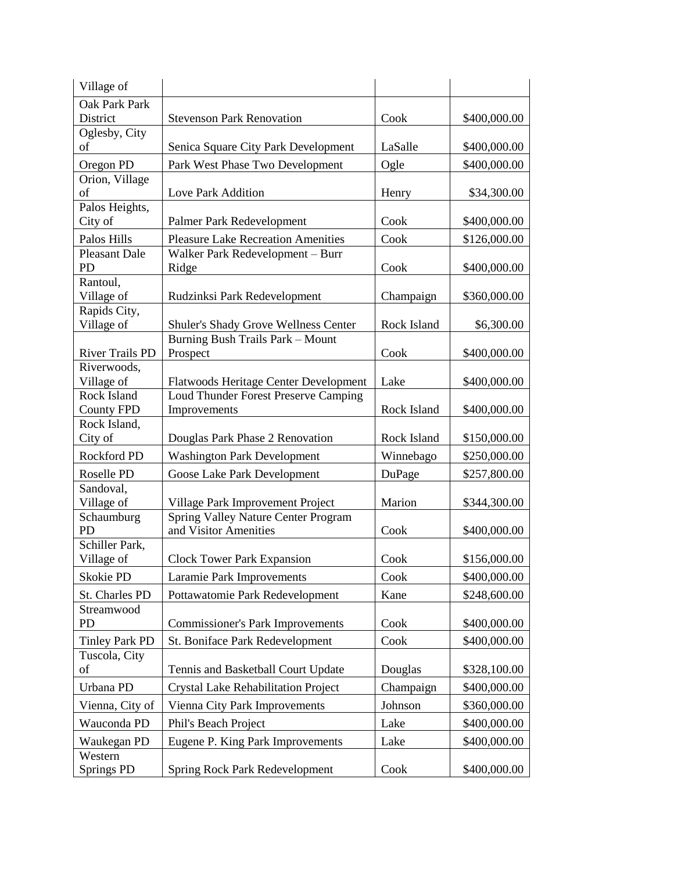| Village of              |                                                                     |             |              |
|-------------------------|---------------------------------------------------------------------|-------------|--------------|
| Oak Park Park           |                                                                     |             |              |
| District                | <b>Stevenson Park Renovation</b>                                    | Cook        | \$400,000.00 |
| Oglesby, City           |                                                                     |             |              |
| of                      | Senica Square City Park Development                                 | LaSalle     | \$400,000.00 |
| Oregon PD               | Park West Phase Two Development                                     | Ogle        | \$400,000.00 |
| Orion, Village          |                                                                     |             |              |
| of<br>Palos Heights,    | Love Park Addition                                                  | Henry       | \$34,300.00  |
| City of                 | Palmer Park Redevelopment                                           | Cook        | \$400,000.00 |
| Palos Hills             | <b>Pleasure Lake Recreation Amenities</b>                           | Cook        | \$126,000.00 |
| <b>Pleasant Dale</b>    | Walker Park Redevelopment - Burr                                    |             |              |
| <b>PD</b>               | Ridge                                                               | Cook        | \$400,000.00 |
| Rantoul,                |                                                                     |             |              |
| Village of              | Rudzinksi Park Redevelopment                                        | Champaign   | \$360,000.00 |
| Rapids City,            |                                                                     |             |              |
| Village of              | Shuler's Shady Grove Wellness Center                                | Rock Island | \$6,300.00   |
| <b>River Trails PD</b>  | Burning Bush Trails Park - Mount                                    |             |              |
| Riverwoods,             | Prospect                                                            | Cook        | \$400,000.00 |
| Village of              | Flatwoods Heritage Center Development                               | Lake        | \$400,000.00 |
| Rock Island             | Loud Thunder Forest Preserve Camping                                |             |              |
| <b>County FPD</b>       | Improvements                                                        | Rock Island | \$400,000.00 |
| Rock Island,            |                                                                     |             |              |
| City of                 | Douglas Park Phase 2 Renovation                                     | Rock Island | \$150,000.00 |
| Rockford PD             | <b>Washington Park Development</b>                                  | Winnebago   | \$250,000.00 |
| Roselle PD              | Goose Lake Park Development                                         | DuPage      | \$257,800.00 |
| Sandoval,               |                                                                     |             |              |
| Village of              | Village Park Improvement Project                                    | Marion      | \$344,300.00 |
| Schaumburg<br><b>PD</b> | <b>Spring Valley Nature Center Program</b><br>and Visitor Amenities | Cook        | \$400,000.00 |
| Schiller Park,          |                                                                     |             |              |
| Village of              | <b>Clock Tower Park Expansion</b>                                   | Cook        | \$156,000.00 |
| Skokie PD               | <b>Laramie Park Improvements</b>                                    | Cook        | \$400,000.00 |
| St. Charles PD          | Pottawatomie Park Redevelopment                                     | Kane        | \$248,600.00 |
| Streamwood              |                                                                     |             |              |
| PD                      | <b>Commissioner's Park Improvements</b>                             | Cook        | \$400,000.00 |
| <b>Tinley Park PD</b>   | St. Boniface Park Redevelopment                                     | Cook        | \$400,000.00 |
| Tuscola, City           |                                                                     |             |              |
| of                      | Tennis and Basketball Court Update                                  | Douglas     | \$328,100.00 |
| Urbana PD               | <b>Crystal Lake Rehabilitation Project</b>                          | Champaign   | \$400,000.00 |
| Vienna, City of         | Vienna City Park Improvements                                       | Johnson     | \$360,000.00 |
| Wauconda PD             | Phil's Beach Project                                                | Lake        | \$400,000.00 |
| Waukegan PD             | Eugene P. King Park Improvements                                    | Lake        | \$400,000.00 |
| Western                 |                                                                     |             |              |
| <b>Springs PD</b>       | <b>Spring Rock Park Redevelopment</b>                               | Cook        | \$400,000.00 |